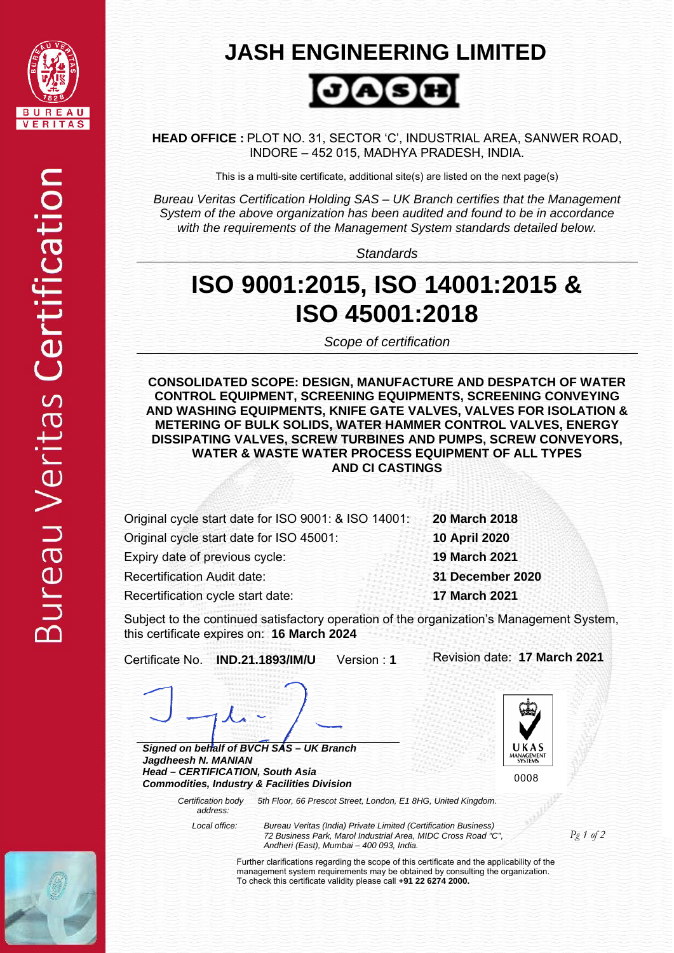

## **JASH ENGINEERING LIMITED**



**HEAD OFFICE :** PLOT NO. 31, SECTOR 'C', INDUSTRIAL AREA, SANWER ROAD, INDORE – 452 015, MADHYA PRADESH, INDIA.

This is a multi-site certificate, additional site(s) are listed on the next page(s)

*Bureau Veritas Certification Holding SAS – UK Branch certifies that the Management System of the above organization has been audited and found to be in accordance with the requirements of the Management System standards detailed below.*

*Standards* 

## **ISO 9001:2015, ISO 14001:2015 & ISO 45001:2018**

*Scope of certification* 

**CONSOLIDATED SCOPE: DESIGN, MANUFACTURE AND DESPATCH OF WATER CONTROL EQUIPMENT, SCREENING EQUIPMENTS, SCREENING CONVEYING AND WASHING EQUIPMENTS, KNIFE GATE VALVES, VALVES FOR ISOLATION & METERING OF BULK SOLIDS, WATER HAMMER CONTROL VALVES, ENERGY DISSIPATING VALVES, SCREW TURBINES AND PUMPS, SCREW CONVEYORS, WATER & WASTE WATER PROCESS EQUIPMENT OF ALL TYPES AND CI CASTINGS** 

Original cycle start date for ISO 9001: & ISO 14001: **20 March 2018** 

Original cycle start date for ISO 45001: **10 April 2020** 

Expiry date of previous cycle: **19 March 2021** 

Recertification Audit date: **31 December 2020** 

Recertification cycle start date: **17 March 2021** 

Subject to the continued satisfactory operation of the organization's Management System, this certificate expires on: **16 March 2024** 

Certificate No. **IND.21.1893/IM/U** Version : **1** Revision date: **17 March 2021** 

 $IJKAS$ 

 $\overline{\phantom{a}}$ *Signed on behalf of BVCH SAS – UK Branch* 

*Jagdheesh N. MANIAN Head – CERTIFICATION, South Asia Commodities, Industry & Facilities Division* 

*5th Floor, 66 Prescot Street, London, E1 8HG, United Kingdom.*  Ļ 0008

 *address:*

 *Certification body* 

 *Local office: Bureau Veritas (India) Private Limited (Certification Business) 72 Business Park, Marol Industrial Area, MIDC Cross Road "C", Andheri (East), Mumbai – 400 093, India.* 



*Pg 1 of 2* 

Further clarifications regarding the scope of this certificate and the applicability of the management system requirements may be obtained by consulting the organization. To check this certificate validity please call **+91 22 6274 2000.**